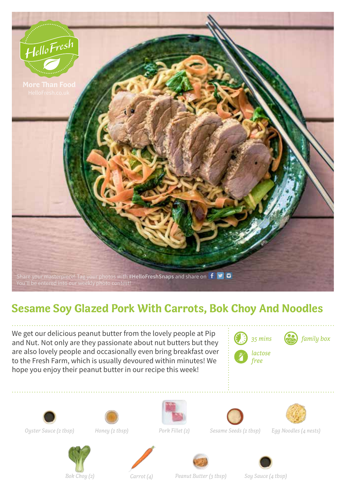

## **Sesame Soy Glazed Pork With Carrots, Bok Choy And Noodles**

We get our delicious peanut butter from the lovely people at Pip and Nut. Not only are they passionate about nut butters but they are also lovely people and occasionally even bring breakfast over to the Fresh Farm, which is usually devoured within minutes! We hope you enjoy their peanut butter in our recipe this week!



*35 mins family box*

*free*











*Oyster Sauce (2 tbsp) Honey (2 tbsp) Pork Fillet (2)*



*Sesame Seeds (2 tbsp) Egg Noodles (4 nests)*









*Bok Choy (2) Carrot (4) Peanut Butter (3 tbsp) Soy Sauce (4 tbsp)*